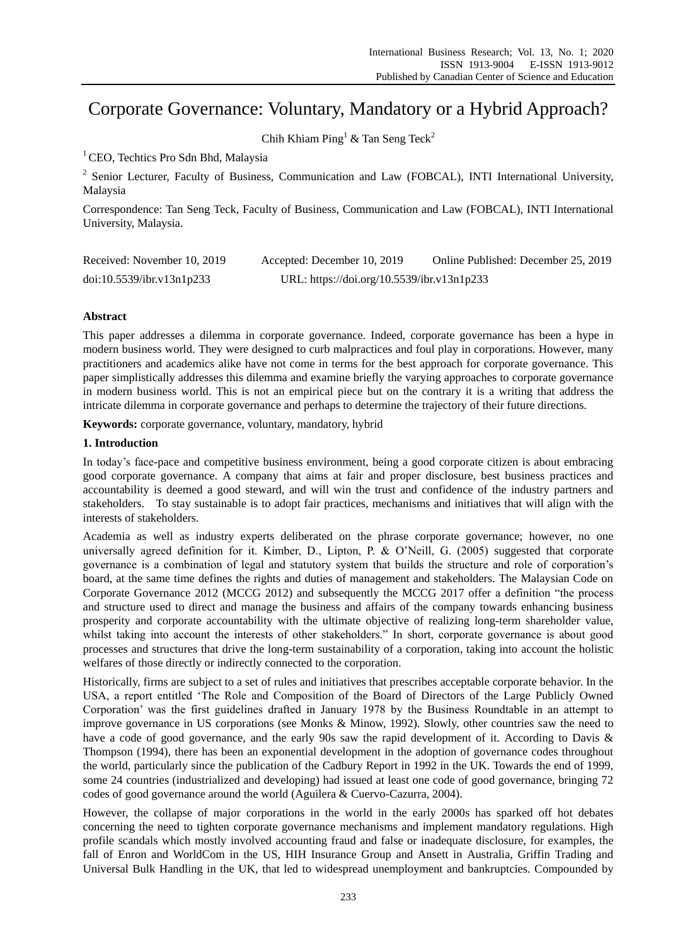# Corporate Governance: Voluntary, Mandatory or a Hybrid Approach?

Chih Khiam Ping<sup>1</sup> & Tan Seng Teck<sup>2</sup>

<sup>1</sup> CEO, Techtics Pro Sdn Bhd, Malaysia

<sup>2</sup> Senior Lecturer, Faculty of Business, Communication and Law (FOBCAL), INTI International University, Malaysia

Correspondence: Tan Seng Teck, Faculty of Business, Communication and Law (FOBCAL), INTI International University, Malaysia.

| Received: November 10, 2019 | Accepted: December 10, 2019                | Online Published: December 25, 2019 |
|-----------------------------|--------------------------------------------|-------------------------------------|
| doi:10.5539/ibr.v13n1p233   | URL: https://doi.org/10.5539/ibr.v13n1p233 |                                     |

## **Abstract**

This paper addresses a dilemma in corporate governance. Indeed, corporate governance has been a hype in modern business world. They were designed to curb malpractices and foul play in corporations. However, many practitioners and academics alike have not come in terms for the best approach for corporate governance. This paper simplistically addresses this dilemma and examine briefly the varying approaches to corporate governance in modern business world. This is not an empirical piece but on the contrary it is a writing that address the intricate dilemma in corporate governance and perhaps to determine the trajectory of their future directions.

**Keywords:** corporate governance, voluntary, mandatory, hybrid

### **1. Introduction**

In today"s face-pace and competitive business environment, being a good corporate citizen is about embracing good corporate governance. A company that aims at fair and proper disclosure, best business practices and accountability is deemed a good steward, and will win the trust and confidence of the industry partners and stakeholders. To stay sustainable is to adopt fair practices, mechanisms and initiatives that will align with the interests of stakeholders.

Academia as well as industry experts deliberated on the phrase corporate governance; however, no one universally agreed definition for it. Kimber, D., Lipton, P. & O"Neill, G. (2005) suggested that corporate governance is a combination of legal and statutory system that builds the structure and role of corporation"s board, at the same time defines the rights and duties of management and stakeholders. The Malaysian Code on Corporate Governance 2012 (MCCG 2012) and subsequently the MCCG 2017 offer a definition "the process and structure used to direct and manage the business and affairs of the company towards enhancing business prosperity and corporate accountability with the ultimate objective of realizing long-term shareholder value, whilst taking into account the interests of other stakeholders." In short, corporate governance is about good processes and structures that drive the long-term sustainability of a corporation, taking into account the holistic welfares of those directly or indirectly connected to the corporation.

Historically, firms are subject to a set of rules and initiatives that prescribes acceptable corporate behavior. In the USA, a report entitled "The Role and Composition of the Board of Directors of the Large Publicly Owned Corporation" was the first guidelines drafted in January 1978 by the Business Roundtable in an attempt to improve governance in US corporations (see Monks & Minow, 1992). Slowly, other countries saw the need to have a code of good governance, and the early 90s saw the rapid development of it. According to Davis & Thompson (1994), there has been an exponential development in the adoption of governance codes throughout the world, particularly since the publication of the Cadbury Report in 1992 in the UK. Towards the end of 1999, some 24 countries (industrialized and developing) had issued at least one code of good governance, bringing 72 codes of good governance around the world (Aguilera & Cuervo-Cazurra, 2004).

However, the collapse of major corporations in the world in the early 2000s has sparked off hot debates concerning the need to tighten corporate governance mechanisms and implement mandatory regulations. High profile scandals which mostly involved accounting fraud and false or inadequate disclosure, for examples, the fall of Enron and WorldCom in the US, HIH Insurance Group and Ansett in Australia, Griffin Trading and Universal Bulk Handling in the UK, that led to widespread unemployment and bankruptcies. Compounded by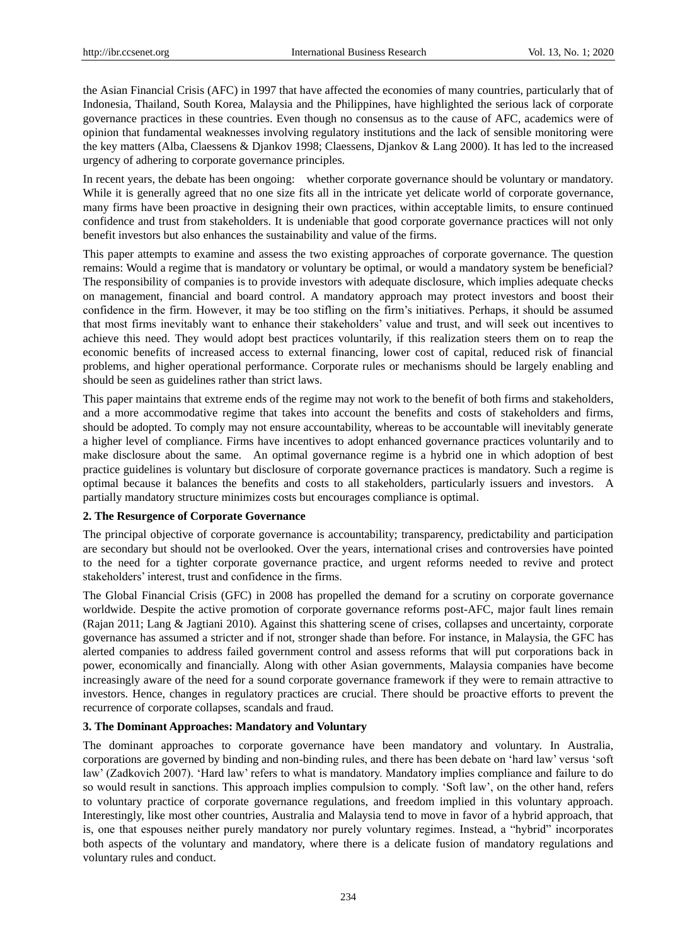the Asian Financial Crisis (AFC) in 1997 that have affected the economies of many countries, particularly that of Indonesia, Thailand, South Korea, Malaysia and the Philippines, have highlighted the serious lack of corporate governance practices in these countries. Even though no consensus as to the cause of AFC, academics were of opinion that fundamental weaknesses involving regulatory institutions and the lack of sensible monitoring were the key matters (Alba, Claessens & Djankov 1998; Claessens, Djankov & Lang 2000). It has led to the increased urgency of adhering to corporate governance principles.

In recent years, the debate has been ongoing: whether corporate governance should be voluntary or mandatory. While it is generally agreed that no one size fits all in the intricate yet delicate world of corporate governance, many firms have been proactive in designing their own practices, within acceptable limits, to ensure continued confidence and trust from stakeholders. It is undeniable that good corporate governance practices will not only benefit investors but also enhances the sustainability and value of the firms.

This paper attempts to examine and assess the two existing approaches of corporate governance. The question remains: Would a regime that is mandatory or voluntary be optimal, or would a mandatory system be beneficial? The responsibility of companies is to provide investors with adequate disclosure, which implies adequate checks on management, financial and board control. A mandatory approach may protect investors and boost their confidence in the firm. However, it may be too stifling on the firm"s initiatives. Perhaps, it should be assumed that most firms inevitably want to enhance their stakeholders" value and trust, and will seek out incentives to achieve this need. They would adopt best practices voluntarily, if this realization steers them on to reap the economic benefits of increased access to external financing, lower cost of capital, reduced risk of financial problems, and higher operational performance. Corporate rules or mechanisms should be largely enabling and should be seen as guidelines rather than strict laws.

This paper maintains that extreme ends of the regime may not work to the benefit of both firms and stakeholders, and a more accommodative regime that takes into account the benefits and costs of stakeholders and firms, should be adopted. To comply may not ensure accountability, whereas to be accountable will inevitably generate a higher level of compliance. Firms have incentives to adopt enhanced governance practices voluntarily and to make disclosure about the same. An optimal governance regime is a hybrid one in which adoption of best practice guidelines is voluntary but disclosure of corporate governance practices is mandatory. Such a regime is optimal because it balances the benefits and costs to all stakeholders, particularly issuers and investors. A partially mandatory structure minimizes costs but encourages compliance is optimal.

#### **2. The Resurgence of Corporate Governance**

The principal objective of corporate governance is accountability; transparency, predictability and participation are secondary but should not be overlooked. Over the years, international crises and controversies have pointed to the need for a tighter corporate governance practice, and urgent reforms needed to revive and protect stakeholders' interest, trust and confidence in the firms.

The Global Financial Crisis (GFC) in 2008 has propelled the demand for a scrutiny on corporate governance worldwide. Despite the active promotion of corporate governance reforms post-AFC, major fault lines remain (Rajan 2011; Lang & Jagtiani 2010). Against this shattering scene of crises, collapses and uncertainty, corporate governance has assumed a stricter and if not, stronger shade than before. For instance, in Malaysia, the GFC has alerted companies to address failed government control and assess reforms that will put corporations back in power, economically and financially. Along with other Asian governments, Malaysia companies have become increasingly aware of the need for a sound corporate governance framework if they were to remain attractive to investors. Hence, changes in regulatory practices are crucial. There should be proactive efforts to prevent the recurrence of corporate collapses, scandals and fraud.

#### **3. The Dominant Approaches: Mandatory and Voluntary**

The dominant approaches to corporate governance have been mandatory and voluntary. In Australia, corporations are governed by binding and non-binding rules, and there has been debate on "hard law" versus "soft law" (Zadkovich 2007). "Hard law" refers to what is mandatory. Mandatory implies compliance and failure to do so would result in sanctions. This approach implies compulsion to comply. "Soft law", on the other hand, refers to voluntary practice of corporate governance regulations, and freedom implied in this voluntary approach. Interestingly, like most other countries, Australia and Malaysia tend to move in favor of a hybrid approach, that is, one that espouses neither purely mandatory nor purely voluntary regimes. Instead, a "hybrid" incorporates both aspects of the voluntary and mandatory, where there is a delicate fusion of mandatory regulations and voluntary rules and conduct.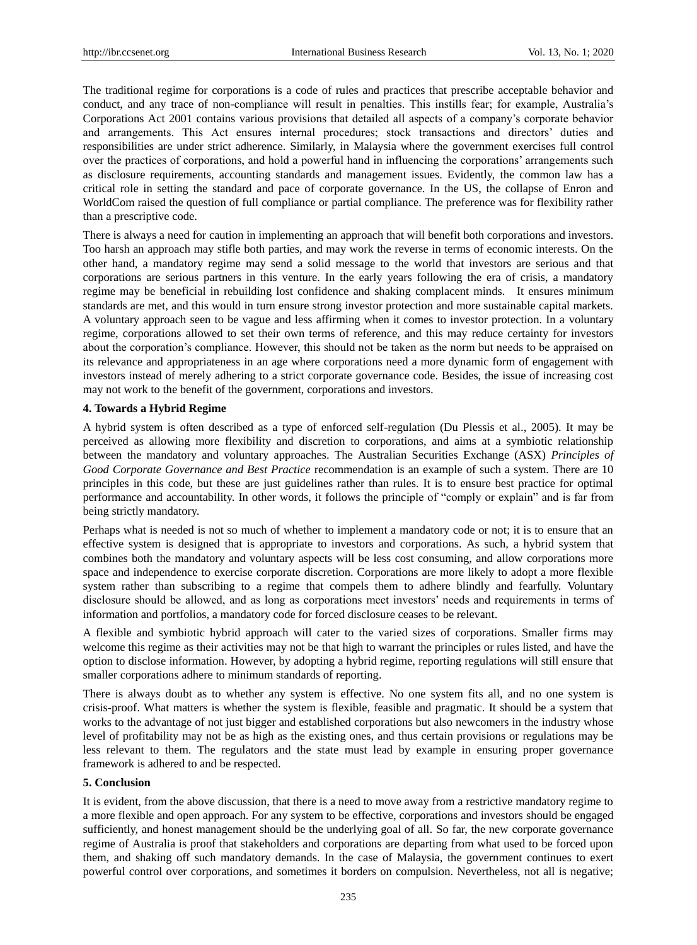The traditional regime for corporations is a code of rules and practices that prescribe acceptable behavior and conduct, and any trace of non-compliance will result in penalties. This instills fear; for example, Australia"s Corporations Act 2001 contains various provisions that detailed all aspects of a company"s corporate behavior and arrangements. This Act ensures internal procedures; stock transactions and directors" duties and responsibilities are under strict adherence. Similarly, in Malaysia where the government exercises full control over the practices of corporations, and hold a powerful hand in influencing the corporations" arrangements such as disclosure requirements, accounting standards and management issues. Evidently, the common law has a critical role in setting the standard and pace of corporate governance. In the US, the collapse of Enron and WorldCom raised the question of full compliance or partial compliance. The preference was for flexibility rather than a prescriptive code.

There is always a need for caution in implementing an approach that will benefit both corporations and investors. Too harsh an approach may stifle both parties, and may work the reverse in terms of economic interests. On the other hand, a mandatory regime may send a solid message to the world that investors are serious and that corporations are serious partners in this venture. In the early years following the era of crisis, a mandatory regime may be beneficial in rebuilding lost confidence and shaking complacent minds. It ensures minimum standards are met, and this would in turn ensure strong investor protection and more sustainable capital markets. A voluntary approach seen to be vague and less affirming when it comes to investor protection. In a voluntary regime, corporations allowed to set their own terms of reference, and this may reduce certainty for investors about the corporation"s compliance. However, this should not be taken as the norm but needs to be appraised on its relevance and appropriateness in an age where corporations need a more dynamic form of engagement with investors instead of merely adhering to a strict corporate governance code. Besides, the issue of increasing cost may not work to the benefit of the government, corporations and investors.

#### **4. Towards a Hybrid Regime**

A hybrid system is often described as a type of enforced self-regulation (Du Plessis et al., 2005). It may be perceived as allowing more flexibility and discretion to corporations, and aims at a symbiotic relationship between the mandatory and voluntary approaches. The Australian Securities Exchange (ASX) *Principles of Good Corporate Governance and Best Practice* recommendation is an example of such a system. There are 10 principles in this code, but these are just guidelines rather than rules. It is to ensure best practice for optimal performance and accountability. In other words, it follows the principle of "comply or explain" and is far from being strictly mandatory.

Perhaps what is needed is not so much of whether to implement a mandatory code or not; it is to ensure that an effective system is designed that is appropriate to investors and corporations. As such, a hybrid system that combines both the mandatory and voluntary aspects will be less cost consuming, and allow corporations more space and independence to exercise corporate discretion. Corporations are more likely to adopt a more flexible system rather than subscribing to a regime that compels them to adhere blindly and fearfully. Voluntary disclosure should be allowed, and as long as corporations meet investors" needs and requirements in terms of information and portfolios, a mandatory code for forced disclosure ceases to be relevant.

A flexible and symbiotic hybrid approach will cater to the varied sizes of corporations. Smaller firms may welcome this regime as their activities may not be that high to warrant the principles or rules listed, and have the option to disclose information. However, by adopting a hybrid regime, reporting regulations will still ensure that smaller corporations adhere to minimum standards of reporting.

There is always doubt as to whether any system is effective. No one system fits all, and no one system is crisis-proof. What matters is whether the system is flexible, feasible and pragmatic. It should be a system that works to the advantage of not just bigger and established corporations but also newcomers in the industry whose level of profitability may not be as high as the existing ones, and thus certain provisions or regulations may be less relevant to them. The regulators and the state must lead by example in ensuring proper governance framework is adhered to and be respected.

#### **5. Conclusion**

It is evident, from the above discussion, that there is a need to move away from a restrictive mandatory regime to a more flexible and open approach. For any system to be effective, corporations and investors should be engaged sufficiently, and honest management should be the underlying goal of all. So far, the new corporate governance regime of Australia is proof that stakeholders and corporations are departing from what used to be forced upon them, and shaking off such mandatory demands. In the case of Malaysia, the government continues to exert powerful control over corporations, and sometimes it borders on compulsion. Nevertheless, not all is negative;